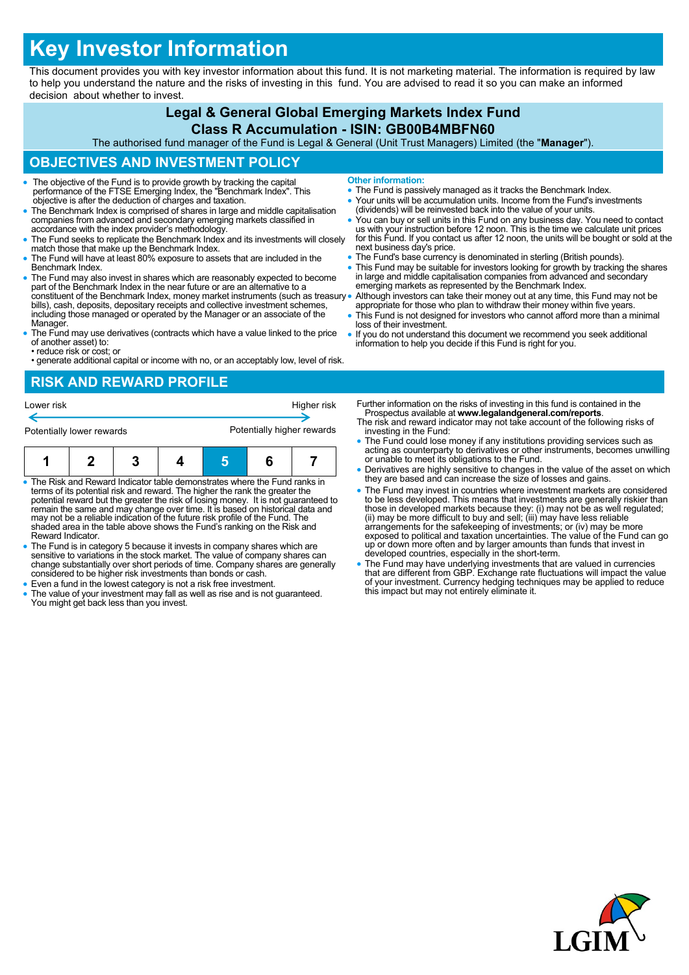# **Key Investor Information**

This document provides you with key investor information about this fund. It is not marketing material. The information is required by law to help you understand the nature and the risks of investing in this fund. You are advised to read it so you can make an informed decision about whether to invest.

# **Legal & General Global Emerging Markets Index Fund**

#### **Class R Accumulation - ISIN: GB00B4MBFN60**

The authorised fund manager of the Fund is Legal & General (Unit Trust Managers) Limited (the "**Manager**").

## **OBJECTIVES AND INVESTMENT POLICY**

- The objective of the Fund is to provide growth by tracking the capital performance of the FTSE Emerging Index, the "Benchmark Index". This objective is after the deduction of charges and taxation.
- The Benchmark Index is comprised of shares in large and middle capitalisation companies from advanced and secondary emerging markets classified in accordance with the index provider's methodology.
- The Fund seeks to replicate the Benchmark Index and its investments will closely match those that make up the Benchmark Index.
- The Fund will have at least 80% exposure to assets that are included in the Benchmark Index.
- The Fund may also invest in shares which are reasonably expected to become part of the Benchmark Index in the near future or are an alternative to a constituent of the Benchmark Index, money market instruments (such as treasury bills), cash, deposits, depositary receipts and collective investment schemes, including those managed or operated by the Manager or an associate of the Manager.
- The Fund may use derivatives (contracts which have a value linked to the price of another asset) to:
- reduce risk or cost; or • generate additional capital or income with no, or an acceptably low, level of risk.

# **RISK AND REWARD PROFILE**



- The Risk and Reward Indicator table demonstrates where the Fund ranks in terms of its potential risk and reward. The higher the rank the greater the potential reward but the greater the risk of losing money. It is not guaranteed to remain the same and may change over time. It is based on historical data and may not be a reliable indication of the future risk profile of the Fund. The shaded area in the table above shows the Fund's ranking on the Risk and Reward Indicator.
- The Fund is in category 5 because it invests in company shares which are sensitive to variations in the stock market. The value of company shares can change substantially over short periods of time. Company shares are generally considered to be higher risk investments than bonds or cash.
- Even a fund in the lowest category is not a risk free investment.
- The value of your investment may fall as well as rise and is not guaranteed. You might get back less than you invest.
- **Other information:**
- The Fund is passively managed as it tracks the Benchmark Index.
- Your units will be accumulation units. Income from the Fund's investments (dividends) will be reinvested back into the value of your units.
- You can buy or sell units in this Fund on any business day. You need to contact<br>us with your instruction before 12 noon. This is the time we calculate unit prices<br>for this Fund. If you contact us after 12 noon, the units next business day's price.
- The Fund's base currency is denominated in sterling (British pounds).
- This Fund may be suitable for investors looking for growth by tracking the shares in large and middle capitalisation companies from advanced and secondary emerging markets as represented by the Benchmark Index.
- Although investors can take their money out at any time, this Fund may not be appropriate for those who plan to withdraw their money within five years.
- This Fund is not designed for investors who cannot afford more than a minimal loss of their investment.
- If you do not understand this document we recommend you seek additional information to help you decide if this Fund is right for you.

Further information on the risks of investing in this fund is contained in the Prospectus available at **www.legalandgeneral.com/reports**.

- The risk and reward indicator may not take account of the following risks of investing in the Fund:
- The Fund could lose money if any institutions providing services such as acting as counterparty to derivatives or other instruments, becomes unwilling or unable to meet its obligations to the Fund.
- Derivatives are highly sensitive to changes in the value of the asset on which they are based and can increase the size of losses and gains.
- The Fund may invest in countries where investment markets are considered to be less developed. This means that investments are generally riskier than<br>those in developed markets because they: (i) may not be as well regulated;<br>(ii) may be more difficult to buy and sell; (iii) may have less reliab exposed to political and taxation uncertainties. The value of the Fund can go up or down more often and by larger amounts than funds that invest in developed countries, especially in the short-term.
- The Fund may have underlying investments that are valued in currencies that are different from GBP. Exchange rate fluctuations will impact the value of your investment. Currency hedging techniques may be applied to reduce this impact but may not entirely eliminate it.